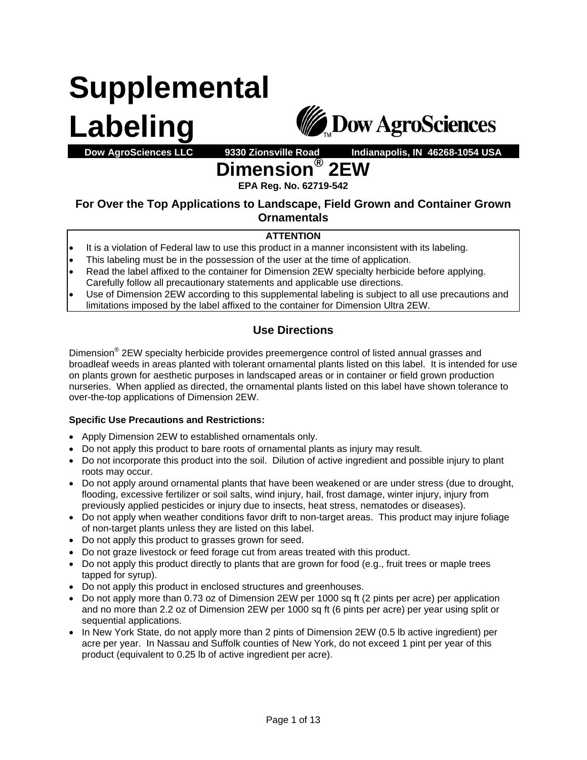# **Supplemental Labeling**



## **Dow AgroSciences LLC 9330 Zionsville Road Indianapolis, IN 46268-1054 USA**  <code>nension®</code> 2EW

**EPA Reg. No. 62719-542** 

### **For Over the Top Applications to Landscape, Field Grown and Container Grown Ornamentals**

#### **ATTENTION**

- It is a violation of Federal law to use this product in a manner inconsistent with its labeling.
- This labeling must be in the possession of the user at the time of application.
- Read the label affixed to the container for Dimension 2EW specialty herbicide before applying. Carefully follow all precautionary statements and applicable use directions.
- Use of Dimension 2EW according to this supplemental labeling is subject to all use precautions and limitations imposed by the label affixed to the container for Dimension Ultra 2EW.

## **Use Directions**

Dimension<sup>®</sup> 2EW specialty herbicide provides preemergence control of listed annual grasses and broadleaf weeds in areas planted with tolerant ornamental plants listed on this label. It is intended for use on plants grown for aesthetic purposes in landscaped areas or in container or field grown production nurseries. When applied as directed, the ornamental plants listed on this label have shown tolerance to over-the-top applications of Dimension 2EW.

#### **Specific Use Precautions and Restrictions:**

- Apply Dimension 2EW to established ornamentals only.
- Do not apply this product to bare roots of ornamental plants as injury may result.
- Do not incorporate this product into the soil. Dilution of active ingredient and possible injury to plant roots may occur.
- Do not apply around ornamental plants that have been weakened or are under stress (due to drought, flooding, excessive fertilizer or soil salts, wind injury, hail, frost damage, winter injury, injury from previously applied pesticides or injury due to insects, heat stress, nematodes or diseases).
- Do not apply when weather conditions favor drift to non-target areas. This product may injure foliage of non-target plants unless they are listed on this label.
- Do not apply this product to grasses grown for seed.
- Do not graze livestock or feed forage cut from areas treated with this product.
- Do not apply this product directly to plants that are grown for food (e.g., fruit trees or maple trees tapped for syrup).
- Do not apply this product in enclosed structures and greenhouses.
- Do not apply more than 0.73 oz of Dimension 2EW per 1000 sq ft (2 pints per acre) per application and no more than 2.2 oz of Dimension 2EW per 1000 sq ft (6 pints per acre) per year using split or sequential applications.
- In New York State, do not apply more than 2 pints of Dimension 2EW (0.5 lb active ingredient) per acre per year. In Nassau and Suffolk counties of New York, do not exceed 1 pint per year of this product (equivalent to 0.25 lb of active ingredient per acre).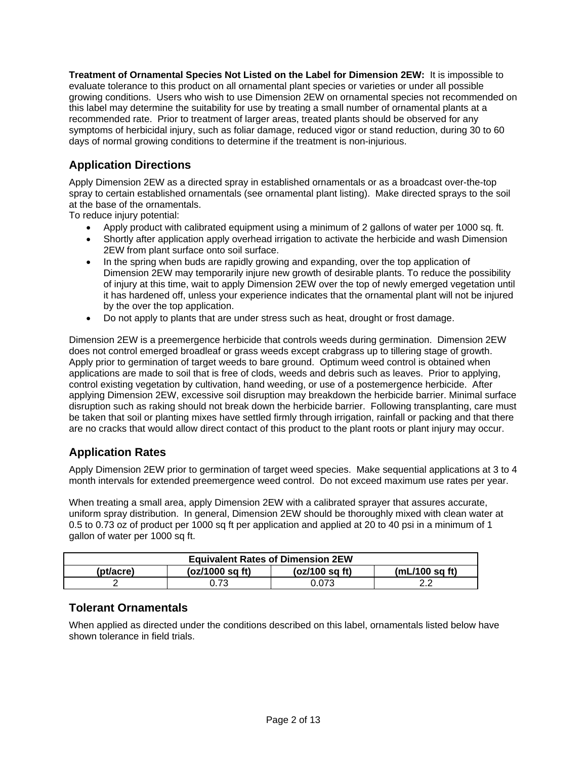**Treatment of Ornamental Species Not Listed on the Label for Dimension 2EW:** It is impossible to evaluate tolerance to this product on all ornamental plant species or varieties or under all possible growing conditions. Users who wish to use Dimension 2EW on ornamental species not recommended on this label may determine the suitability for use by treating a small number of ornamental plants at a recommended rate. Prior to treatment of larger areas, treated plants should be observed for any symptoms of herbicidal injury, such as foliar damage, reduced vigor or stand reduction, during 30 to 60 days of normal growing conditions to determine if the treatment is non-injurious.

## **Application Directions**

Apply Dimension 2EW as a directed spray in established ornamentals or as a broadcast over-the-top spray to certain established ornamentals (see ornamental plant listing). Make directed sprays to the soil at the base of the ornamentals.

To reduce injury potential:

- Apply product with calibrated equipment using a minimum of 2 gallons of water per 1000 sq. ft.
- Shortly after application apply overhead irrigation to activate the herbicide and wash Dimension 2EW from plant surface onto soil surface.
- In the spring when buds are rapidly growing and expanding, over the top application of Dimension 2EW may temporarily injure new growth of desirable plants. To reduce the possibility of injury at this time, wait to apply Dimension 2EW over the top of newly emerged vegetation until it has hardened off, unless your experience indicates that the ornamental plant will not be injured by the over the top application.
- Do not apply to plants that are under stress such as heat, drought or frost damage.

Dimension 2EW is a preemergence herbicide that controls weeds during germination. Dimension 2EW does not control emerged broadleaf or grass weeds except crabgrass up to tillering stage of growth. Apply prior to germination of target weeds to bare ground. Optimum weed control is obtained when applications are made to soil that is free of clods, weeds and debris such as leaves. Prior to applying, control existing vegetation by cultivation, hand weeding, or use of a postemergence herbicide. After applying Dimension 2EW, excessive soil disruption may breakdown the herbicide barrier. Minimal surface disruption such as raking should not break down the herbicide barrier. Following transplanting, care must be taken that soil or planting mixes have settled firmly through irrigation, rainfall or packing and that there are no cracks that would allow direct contact of this product to the plant roots or plant injury may occur.

### **Application Rates**

Apply Dimension 2EW prior to germination of target weed species. Make sequential applications at 3 to 4 month intervals for extended preemergence weed control. Do not exceed maximum use rates per year.

When treating a small area, apply Dimension 2EW with a calibrated sprayer that assures accurate, uniform spray distribution. In general, Dimension 2EW should be thoroughly mixed with clean water at 0.5 to 0.73 oz of product per 1000 sq ft per application and applied at 20 to 40 psi in a minimum of 1 gallon of water per 1000 sq ft.

| <b>Equivalent Rates of Dimension 2EW</b> |                   |                  |                          |  |  |  |  |
|------------------------------------------|-------------------|------------------|--------------------------|--|--|--|--|
| (pt/acre)                                | $(oz/1000$ sa ft) | $(oz/100$ sa ft) | $(mL/100 \text{ sq ft})$ |  |  |  |  |
|                                          | 0.73              | ).073            |                          |  |  |  |  |

#### **Tolerant Ornamentals**

When applied as directed under the conditions described on this label, ornamentals listed below have shown tolerance in field trials.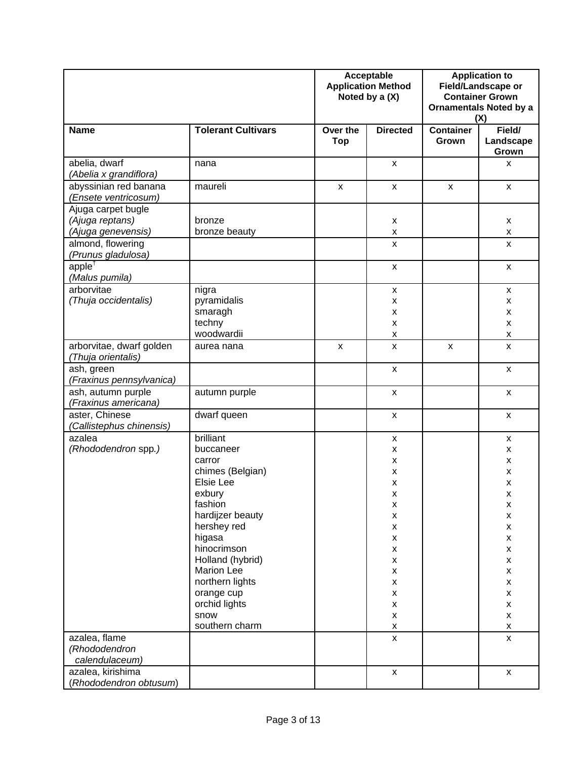|                                                             |                                                                                                                                                                                                                                                                         | Acceptable<br><b>Application Method</b><br>Noted by a (X) |                                                                                                                                                                                                   | <b>Application to</b><br>Field/Landscape or<br><b>Container Grown</b><br><b>Ornamentals Noted by a</b><br>(X) |                                                                                                                                                                                                                                                                                               |
|-------------------------------------------------------------|-------------------------------------------------------------------------------------------------------------------------------------------------------------------------------------------------------------------------------------------------------------------------|-----------------------------------------------------------|---------------------------------------------------------------------------------------------------------------------------------------------------------------------------------------------------|---------------------------------------------------------------------------------------------------------------|-----------------------------------------------------------------------------------------------------------------------------------------------------------------------------------------------------------------------------------------------------------------------------------------------|
| <b>Name</b>                                                 | <b>Tolerant Cultivars</b>                                                                                                                                                                                                                                               | Over the<br><b>Top</b>                                    | <b>Directed</b>                                                                                                                                                                                   | <b>Container</b><br>Grown                                                                                     | Field/<br>Landscape<br>Grown                                                                                                                                                                                                                                                                  |
| abelia, dwarf<br>(Abelia x grandiflora)                     | nana                                                                                                                                                                                                                                                                    |                                                           | X                                                                                                                                                                                                 |                                                                                                               | X                                                                                                                                                                                                                                                                                             |
| abyssinian red banana<br>(Ensete ventricosum)               | maureli                                                                                                                                                                                                                                                                 | X                                                         | X                                                                                                                                                                                                 | X                                                                                                             | X                                                                                                                                                                                                                                                                                             |
| Ajuga carpet bugle<br>(Ajuga reptans)<br>(Ajuga genevensis) | bronze<br>bronze beauty                                                                                                                                                                                                                                                 |                                                           | x<br>X                                                                                                                                                                                            |                                                                                                               | X<br>X                                                                                                                                                                                                                                                                                        |
| almond, flowering<br>(Prunus gladulosa)                     |                                                                                                                                                                                                                                                                         |                                                           | x                                                                                                                                                                                                 |                                                                                                               | X                                                                                                                                                                                                                                                                                             |
| apple <sup>†</sup><br>(Malus pumila)                        |                                                                                                                                                                                                                                                                         |                                                           | x                                                                                                                                                                                                 |                                                                                                               | X                                                                                                                                                                                                                                                                                             |
| arborvitae<br>(Thuja occidentalis)                          | nigra<br>pyramidalis<br>smaragh<br>techny<br>woodwardii                                                                                                                                                                                                                 |                                                           | x<br>x<br>X<br>x<br>x                                                                                                                                                                             |                                                                                                               | X<br>X<br>X<br>$\pmb{\mathsf{x}}$<br>$\pmb{\mathsf{x}}$                                                                                                                                                                                                                                       |
| arborvitae, dwarf golden<br>(Thuja orientalis)              | aurea nana                                                                                                                                                                                                                                                              | $\boldsymbol{\mathsf{x}}$                                 | X                                                                                                                                                                                                 | $\pmb{\mathsf{x}}$                                                                                            | $\pmb{\mathsf{x}}$                                                                                                                                                                                                                                                                            |
| ash, green<br>(Fraxinus pennsylvanica)                      |                                                                                                                                                                                                                                                                         |                                                           | X                                                                                                                                                                                                 |                                                                                                               | X                                                                                                                                                                                                                                                                                             |
| ash, autumn purple<br>(Fraxinus americana)                  | autumn purple                                                                                                                                                                                                                                                           |                                                           | X                                                                                                                                                                                                 |                                                                                                               | X                                                                                                                                                                                                                                                                                             |
| aster, Chinese<br>(Callistephus chinensis)                  | dwarf queen                                                                                                                                                                                                                                                             |                                                           | X                                                                                                                                                                                                 |                                                                                                               | X                                                                                                                                                                                                                                                                                             |
| azalea<br>(Rhododendron spp.)<br>azalea, flame              | brilliant<br>buccaneer<br>carror<br>chimes (Belgian)<br>Elsie Lee<br>exbury<br>fashion<br>hardijzer beauty<br>hershey red<br>higasa<br>hinocrimson<br>Holland (hybrid)<br><b>Marion Lee</b><br>northern lights<br>orange cup<br>orchid lights<br>snow<br>southern charm |                                                           | x<br>X<br>X<br>X<br>Χ<br>x<br>X<br>$\pmb{\mathsf{x}}$<br>X<br>X<br>$\pmb{\mathsf{X}}$<br>$\pmb{\mathsf{x}}$<br>x<br>x<br>X<br>$\pmb{\mathsf{X}}$<br>$\pmb{\mathsf{x}}$<br>$\pmb{\mathsf{X}}$<br>X |                                                                                                               | X<br>X<br>X<br>X<br>$\pmb{\times}$<br>X<br>X<br>$\pmb{\mathsf{X}}$<br>$\pmb{\mathsf{x}}$<br>$\pmb{\mathsf{x}}$<br>$\pmb{\mathsf{x}}$<br>$\pmb{\mathsf{x}}$<br>$\pmb{\mathsf{x}}$<br>$\pmb{\mathsf{x}}$<br>$\pmb{\mathsf{x}}$<br>$\mathsf{x}$<br>$\pmb{\mathsf{x}}$<br>$\pmb{\mathsf{X}}$<br>X |
| (Rhododendron<br>calendulaceum)                             |                                                                                                                                                                                                                                                                         |                                                           |                                                                                                                                                                                                   |                                                                                                               |                                                                                                                                                                                                                                                                                               |
| azalea, kirishima<br>(Rhododendron obtusum)                 |                                                                                                                                                                                                                                                                         |                                                           | X                                                                                                                                                                                                 |                                                                                                               | X                                                                                                                                                                                                                                                                                             |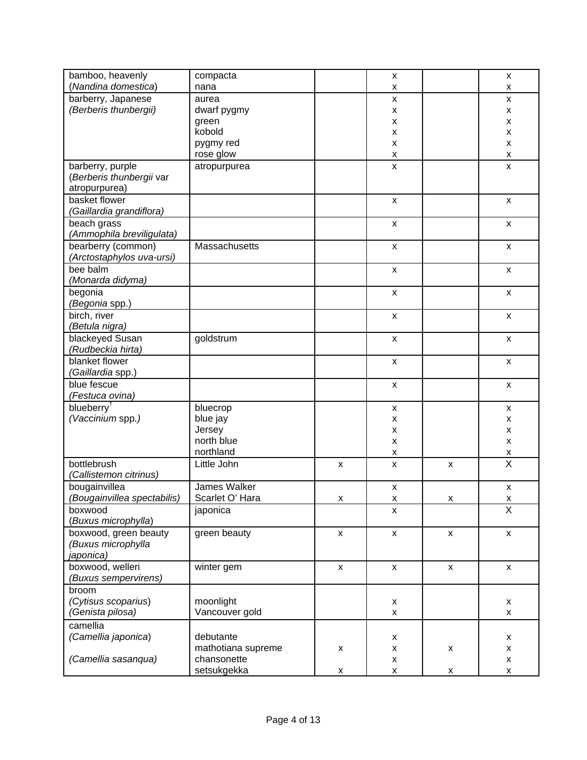| bamboo, heavenly                         | compacta           |                           | X                         |                           | X                                                  |
|------------------------------------------|--------------------|---------------------------|---------------------------|---------------------------|----------------------------------------------------|
| (Nandina domestica)                      | nana               |                           | х                         |                           | x                                                  |
| barberry, Japanese                       | aurea              |                           | $\pmb{\mathsf{x}}$        |                           | X                                                  |
| (Berberis thunbergii)                    | dwarf pygmy        |                           | X                         |                           | x                                                  |
|                                          | green              |                           | X                         |                           | X                                                  |
|                                          | kobold             |                           | $\pmb{\mathsf{x}}$        |                           | X                                                  |
|                                          | pygmy red          |                           | $\pmb{\mathsf{x}}$        |                           | X                                                  |
|                                          | rose glow          |                           | $\pmb{\times}$            |                           | $\pmb{\times}$                                     |
| barberry, purple                         | atropurpurea       |                           | X                         |                           | x                                                  |
| (Berberis thunbergii var                 |                    |                           |                           |                           |                                                    |
| atropurpurea)<br>basket flower           |                    |                           |                           |                           |                                                    |
|                                          |                    |                           | $\pmb{\mathsf{x}}$        |                           | X                                                  |
| (Gaillardia grandiflora)                 |                    |                           |                           |                           |                                                    |
| beach grass                              |                    |                           | $\pmb{\mathsf{X}}$        |                           | $\pmb{\mathsf{X}}$                                 |
| (Ammophila breviligulata)                |                    |                           |                           |                           |                                                    |
| bearberry (common)                       | Massachusetts      |                           | $\pmb{\mathsf{x}}$        |                           | X                                                  |
| (Arctostaphylos uva-ursi)                |                    |                           |                           |                           |                                                    |
| bee balm                                 |                    |                           | $\pmb{\mathsf{x}}$        |                           | $\pmb{\mathsf{X}}$                                 |
| (Monarda didyma)                         |                    |                           |                           |                           |                                                    |
| begonia                                  |                    |                           | $\boldsymbol{\mathsf{x}}$ |                           | $\pmb{\mathsf{X}}$                                 |
| (Begonia spp.)                           |                    |                           |                           |                           |                                                    |
| birch, river                             |                    |                           | $\pmb{\mathsf{x}}$        |                           | $\pmb{\mathsf{X}}$                                 |
| (Betula nigra)                           |                    |                           |                           |                           |                                                    |
| blackeyed Susan                          | goldstrum          |                           | $\boldsymbol{\mathsf{x}}$ |                           | $\pmb{\mathsf{X}}$                                 |
| (Rudbeckia hirta)                        |                    |                           |                           |                           |                                                    |
| blanket flower                           |                    |                           | $\boldsymbol{\mathsf{x}}$ |                           | $\pmb{\mathsf{X}}$                                 |
| <i>(Gaillardia</i> spp.)                 |                    |                           |                           |                           |                                                    |
| blue fescue                              |                    |                           | $\pmb{\mathsf{x}}$        |                           | $\pmb{\mathsf{X}}$                                 |
| (Festuca ovina)                          |                    |                           |                           |                           |                                                    |
| blueberry <sup>†</sup>                   | bluecrop           |                           | $\boldsymbol{\mathsf{x}}$ |                           | $\pmb{\mathsf{X}}$                                 |
| (Vaccinium spp.)                         | blue jay           |                           | X                         |                           | x                                                  |
|                                          | Jersey             |                           | $\boldsymbol{\mathsf{x}}$ |                           | $\pmb{\times}$                                     |
|                                          | north blue         |                           | $\pmb{\mathsf{X}}$        |                           | $\pmb{\times}$                                     |
|                                          | northland          |                           | X                         |                           | Χ<br>$\overline{\mathsf{x}}$                       |
| bottlebrush                              | Little John        | $\boldsymbol{\mathsf{x}}$ | $\pmb{\mathsf{X}}$        | $\boldsymbol{\mathsf{x}}$ |                                                    |
| (Callistemon citrinus)                   |                    |                           |                           |                           |                                                    |
| bougainvillea                            | James Walker       |                           | $\pmb{\mathsf{x}}$        |                           | $\pmb{\mathsf{x}}$                                 |
| (Bougainvillea spectabilis)              | Scarlet O' Hara    | X                         | X                         | Χ                         | $\overline{\mathsf{x}}$<br>$\overline{\mathsf{x}}$ |
| boxwood                                  | japonica           |                           | $\mathsf{x}$              |                           |                                                    |
| (Buxus microphylla)                      |                    |                           |                           |                           |                                                    |
| boxwood, green beauty                    | green beauty       | X                         | $\pmb{\times}$            | X                         | $\boldsymbol{\mathsf{x}}$                          |
| (Buxus microphylla                       |                    |                           |                           |                           |                                                    |
| japonica)                                |                    |                           |                           |                           |                                                    |
| boxwood, welleri<br>(Buxus sempervirens) | winter gem         | $\mathsf{x}$              | $\mathsf{X}$              | $\mathsf{x}$              | $\mathsf{x}$                                       |
|                                          |                    |                           |                           |                           |                                                    |
| broom                                    |                    |                           |                           |                           |                                                    |
| (Cytisus scoparius)                      | moonlight          |                           | X                         |                           | X                                                  |
| (Genista pilosa)                         | Vancouver gold     |                           | X                         |                           | X                                                  |
| camellia                                 |                    |                           |                           |                           |                                                    |
| (Camellia japonica)                      | debutante          |                           | X                         |                           | x                                                  |
|                                          | mathotiana supreme | X                         | $\pmb{\mathsf{x}}$        | x                         | X                                                  |
| (Camellia sasanqua)                      | chansonette        |                           | X                         |                           | X                                                  |
|                                          | setsukgekka        | $\pmb{\mathsf{X}}$        | $\pmb{\mathsf{x}}$        | X                         | X                                                  |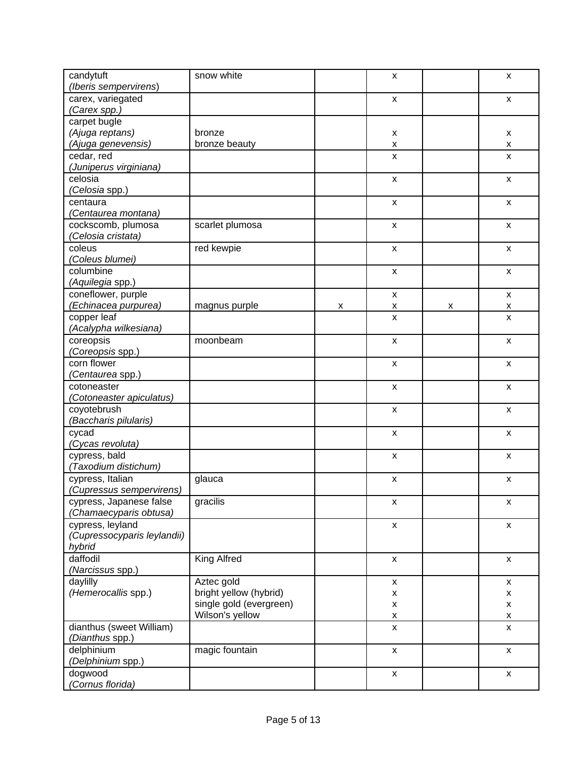| candytuft                   | snow white              |   | X                         |   | X                         |
|-----------------------------|-------------------------|---|---------------------------|---|---------------------------|
| (Iberis sempervirens)       |                         |   |                           |   |                           |
| carex, variegated           |                         |   | $\mathsf{x}$              |   | $\mathsf{x}$              |
| (Carex spp.)                |                         |   |                           |   |                           |
| carpet bugle                |                         |   |                           |   |                           |
| (Ajuga reptans)             | bronze                  |   | X                         |   | х                         |
| (Ajuga genevensis)          | bronze beauty           |   | X                         |   | X                         |
| cedar, red                  |                         |   | $\mathsf{x}$              |   | X                         |
| (Juniperus virginiana)      |                         |   |                           |   |                           |
| celosia                     |                         |   | $\pmb{\mathsf{x}}$        |   | $\boldsymbol{\mathsf{x}}$ |
| (Celosia spp.)              |                         |   |                           |   |                           |
|                             |                         |   |                           |   |                           |
| centaura                    |                         |   | $\pmb{\mathsf{x}}$        |   | $\boldsymbol{\mathsf{x}}$ |
| (Centaurea montana)         |                         |   |                           |   |                           |
| cockscomb, plumosa          | scarlet plumosa         |   | $\boldsymbol{\mathsf{x}}$ |   | $\boldsymbol{\mathsf{x}}$ |
| (Celosia cristata)          |                         |   |                           |   |                           |
| coleus                      | red kewpie              |   | $\pmb{\mathsf{x}}$        |   | $\boldsymbol{\mathsf{x}}$ |
| (Coleus blumei)             |                         |   |                           |   |                           |
| columbine                   |                         |   | $\pmb{\times}$            |   | $\boldsymbol{\mathsf{x}}$ |
| (Aquilegia spp.)            |                         |   |                           |   |                           |
| coneflower, purple          |                         |   |                           |   |                           |
|                             |                         |   | $\pmb{\times}$            |   | X                         |
| (Echinacea purpurea)        | magnus purple           | X | X                         | х | X                         |
| copper leaf                 |                         |   | $\mathsf{x}$              |   | $\mathsf{x}$              |
| (Acalypha wilkesiana)       |                         |   |                           |   |                           |
| coreopsis                   | moonbeam                |   | $\pmb{\times}$            |   | X                         |
| (Coreopsis spp.)            |                         |   |                           |   |                           |
| corn flower                 |                         |   | $\pmb{\times}$            |   | X                         |
| <i>(Centaurea</i> spp.)     |                         |   |                           |   |                           |
| cotoneaster                 |                         |   | $\pmb{\times}$            |   | X                         |
| (Cotoneaster apiculatus)    |                         |   |                           |   |                           |
|                             |                         |   |                           |   |                           |
| coyotebrush                 |                         |   | $\pmb{\times}$            |   | X                         |
| (Baccharis pilularis)       |                         |   |                           |   |                           |
| cycad                       |                         |   | $\pmb{\times}$            |   | X                         |
| (Cycas revoluta)            |                         |   |                           |   |                           |
| cypress, bald               |                         |   | $\pmb{\times}$            |   | $\boldsymbol{\mathsf{x}}$ |
| (Taxodium distichum)        |                         |   |                           |   |                           |
| cypress, Italian            | glauca                  |   | X                         |   | X                         |
| (Cupressus sempervirens)    |                         |   |                           |   |                           |
| cypress, Japanese false     | gracilis                |   | x                         |   | X                         |
| (Chamaecyparis obtusa)      |                         |   |                           |   |                           |
| cypress, leyland            |                         |   | $\mathsf{x}$              |   | $\mathsf{x}$              |
|                             |                         |   |                           |   |                           |
| (Cupressocyparis leylandii) |                         |   |                           |   |                           |
| hybrid                      |                         |   |                           |   |                           |
| daffodil                    | <b>King Alfred</b>      |   | $\mathsf{x}$              |   | $\mathsf{x}$              |
| (Narcissus spp.)            |                         |   |                           |   |                           |
| daylilly                    | Aztec gold              |   | $\pmb{\mathsf{X}}$        |   | X                         |
| (Hemerocallis spp.)         | bright yellow (hybrid)  |   | $\pmb{\mathsf{x}}$        |   | X                         |
|                             | single gold (evergreen) |   | $\pmb{\mathsf{x}}$        |   | $\pmb{\mathsf{X}}$        |
|                             | Wilson's yellow         |   | $\pmb{\mathsf{x}}$        |   | $\pmb{\mathsf{X}}$        |
| dianthus (sweet William)    |                         |   | X                         |   | $\mathsf{x}$              |
| (Dianthus spp.)             |                         |   |                           |   |                           |
| delphinium                  |                         |   |                           |   |                           |
|                             | magic fountain          |   | X                         |   | X                         |
| (Delphinium spp.)           |                         |   |                           |   |                           |
| dogwood                     |                         |   | X                         |   | X                         |
| (Cornus florida)            |                         |   |                           |   |                           |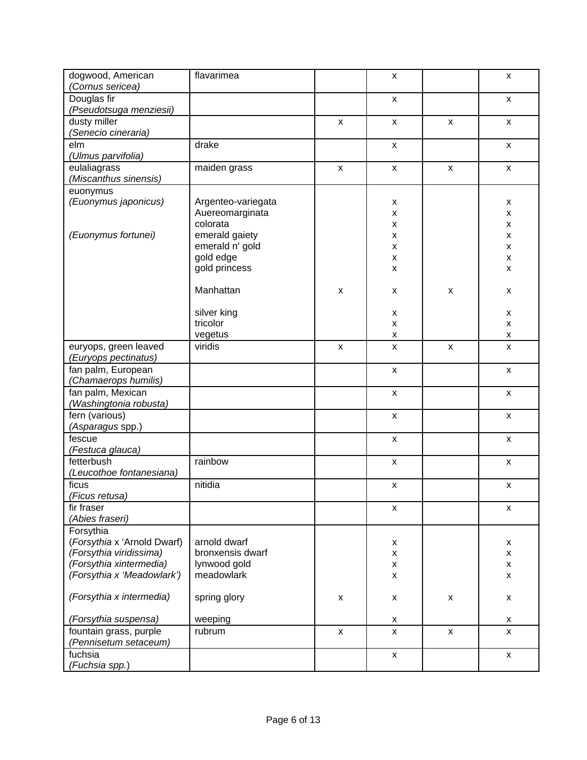| dogwood, American<br>(Cornus sericea)                                                                                        | flavarimea                                                                             |                           | X                                                  |                           | X                                                       |
|------------------------------------------------------------------------------------------------------------------------------|----------------------------------------------------------------------------------------|---------------------------|----------------------------------------------------|---------------------------|---------------------------------------------------------|
| Douglas fir<br>(Pseudotsuga menziesii)                                                                                       |                                                                                        |                           | $\mathsf{x}$                                       |                           | $\mathsf{x}$                                            |
| dusty miller<br>(Senecio cineraria)                                                                                          |                                                                                        | $\pmb{\mathsf{X}}$        | $\mathsf{x}$                                       | $\boldsymbol{\mathsf{x}}$ | $\mathsf{x}$                                            |
| elm<br>(Ulmus parvifolia)                                                                                                    | drake                                                                                  |                           | $\mathsf{x}$                                       |                           | $\mathsf{x}$                                            |
| eulaliagrass<br>(Miscanthus sinensis)                                                                                        | maiden grass                                                                           | $\boldsymbol{\mathsf{x}}$ | $\mathsf{x}$                                       | $\pmb{\mathsf{X}}$        | $\mathsf{x}$                                            |
| euonymus<br>(Euonymus japonicus)<br>(Euonymus fortunei)                                                                      | Argenteo-variegata<br>Auereomarginata<br>colorata<br>emerald gaiety<br>emerald n' gold |                           | x<br>X<br>X<br>$\pmb{\times}$<br>$\pmb{\times}$    |                           | X<br>x<br>X<br>$\pmb{\mathsf{x}}$<br>$\pmb{\mathsf{x}}$ |
|                                                                                                                              | gold edge<br>gold princess                                                             |                           | $\pmb{\mathsf{x}}$<br>$\pmb{\times}$               |                           | X<br>x                                                  |
|                                                                                                                              | Manhattan                                                                              | $\pmb{\mathsf{x}}$        | X                                                  | X                         | X                                                       |
|                                                                                                                              | silver king<br>tricolor                                                                |                           | X<br>X                                             |                           | X<br>X                                                  |
|                                                                                                                              | vegetus                                                                                |                           | X                                                  |                           | X                                                       |
| euryops, green leaved<br>(Euryops pectinatus)                                                                                | viridis                                                                                | $\pmb{\mathsf{X}}$        | X                                                  | $\pmb{\times}$            | X                                                       |
| fan palm, European<br>(Chamaerops humilis)                                                                                   |                                                                                        |                           | $\mathsf{x}$                                       |                           | $\mathsf{x}$                                            |
| fan palm, Mexican<br>(Washingtonia robusta)                                                                                  |                                                                                        |                           | $\mathsf{x}$                                       |                           | $\mathsf{x}$                                            |
| fern (various)<br>(Asparagus spp.)                                                                                           |                                                                                        |                           | X                                                  |                           | X                                                       |
| fescue<br>(Festuca glauca)                                                                                                   |                                                                                        |                           | $\mathsf{x}$                                       |                           | $\mathsf{x}$                                            |
| fetterbush<br>(Leucothoe fontanesiana)                                                                                       | rainbow                                                                                |                           | X                                                  |                           | X                                                       |
| ficus<br>(Ficus retusa)                                                                                                      | nitidia                                                                                |                           | $\pmb{\mathsf{X}}$                                 |                           | $\mathsf{x}$                                            |
| fir fraser<br>(Abies fraseri)                                                                                                |                                                                                        |                           | $\mathsf{x}$                                       |                           | $\mathsf{x}$                                            |
| Forsythia<br>(Forsythia x 'Arnold Dwarf)<br>(Forsythia viridissima)<br>(Forsythia xintermedia)<br>(Forsythia x 'Meadowlark') | arnold dwarf<br>bronxensis dwarf<br>lynwood gold<br>meadowlark                         |                           | X<br>$\pmb{\mathsf{X}}$<br>$\pmb{\mathsf{X}}$<br>X |                           | X<br>X<br>X<br>$\mathsf{x}$                             |
| (Forsythia x intermedia)                                                                                                     | spring glory                                                                           | $\mathsf{x}$              | X                                                  | $\pmb{\times}$            | X                                                       |
| (Forsythia suspensa)                                                                                                         | weeping                                                                                |                           | X                                                  |                           | X                                                       |
| fountain grass, purple<br>(Pennisetum setaceum)                                                                              | rubrum                                                                                 | $\mathsf{x}$              | $\mathsf{x}$                                       | $\mathsf{x}$              | X                                                       |
| fuchsia<br>(Fuchsia spp.)                                                                                                    |                                                                                        |                           | $\pmb{\mathsf{x}}$                                 |                           | $\mathsf{x}$                                            |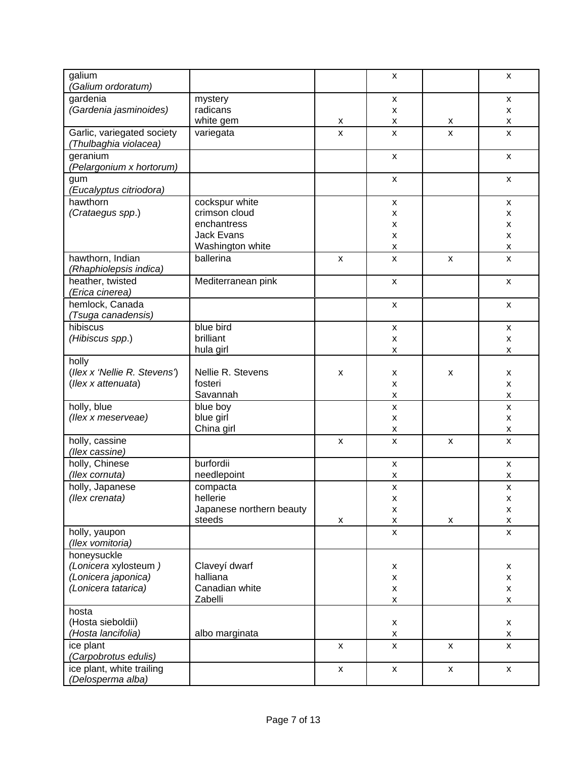| galium<br>(Galium ordoratum)                        |                          |                    | x                       |                    | X                       |
|-----------------------------------------------------|--------------------------|--------------------|-------------------------|--------------------|-------------------------|
| gardenia<br>(Gardenia jasminoides)                  | mystery<br>radicans      |                    | $\pmb{\times}$<br>x     |                    | $\mathsf{x}$<br>X       |
|                                                     | white gem                | x                  | X                       | x                  | X                       |
| Garlic, variegated society<br>(Thulbaghia violacea) | variegata                | $\pmb{\mathsf{x}}$ | $\pmb{\times}$          | X                  | $\pmb{\mathsf{X}}$      |
| geranium<br>(Pelargonium x hortorum)                |                          |                    | $\pmb{\times}$          |                    | $\mathsf{x}$            |
| gum<br>(Eucalyptus citriodora)                      |                          |                    | $\pmb{\times}$          |                    | $\pmb{\mathsf{X}}$      |
| hawthorn                                            | cockspur white           |                    | $\pmb{\times}$          |                    | $\mathsf{x}$            |
| (Crataegus spp.)                                    | crimson cloud            |                    | x                       |                    | X                       |
|                                                     | enchantress              |                    | $\pmb{\times}$          |                    | $\pmb{\mathsf{x}}$      |
|                                                     | <b>Jack Evans</b>        |                    | x                       |                    | $\pmb{\mathsf{X}}$      |
|                                                     | Washington white         |                    | X                       |                    | $\pmb{\mathsf{X}}$      |
| hawthorn, Indian<br>(Rhaphiolepsis indica)          | ballerina                | X                  | x                       | X                  | $\pmb{\mathsf{X}}$      |
| heather, twisted<br>(Erica cinerea)                 | Mediterranean pink       |                    | $\pmb{\mathsf{x}}$      |                    | $\mathsf{x}$            |
| hemlock, Canada<br>(Tsuga canadensis)               |                          |                    | $\pmb{\times}$          |                    | $\mathsf{x}$            |
| hibiscus                                            | blue bird                |                    | $\pmb{\mathsf{X}}$      |                    | $\mathsf{x}$            |
| (Hibiscus spp.)                                     | brilliant                |                    | x                       |                    | $\pmb{\mathsf{x}}$      |
|                                                     | hula girl                |                    | X                       |                    | $\pmb{\mathsf{X}}$      |
| holly                                               |                          |                    |                         |                    |                         |
| (Ilex x 'Nellie R. Stevens')                        | Nellie R. Stevens        | X                  | X                       | X                  | X                       |
| (Ilex x attenuata)                                  | fosteri                  |                    | x                       |                    | X                       |
|                                                     | Savannah                 |                    | $\pmb{\times}$          |                    | $\pmb{\mathsf{x}}$      |
| holly, blue                                         | blue boy                 |                    | $\pmb{\mathsf{X}}$      |                    | $\pmb{\mathsf{x}}$      |
| (llex x meserveae)                                  | blue girl<br>China girl  |                    | x                       |                    | X                       |
| holly, cassine                                      |                          | $\pmb{\times}$     | X<br>$\pmb{\mathsf{X}}$ | x                  | X<br>$\pmb{\times}$     |
| (llex cassine)                                      |                          |                    |                         |                    |                         |
| holly, Chinese                                      | burfordii                |                    | X                       |                    | $\pmb{\mathsf{x}}$      |
| (llex cornuta)                                      | needlepoint              |                    | x                       |                    | x                       |
| holly, Japanese                                     | compacta<br>hellerie     |                    | X                       |                    | $\pmb{\mathsf{X}}$      |
| (Ilex crenata)                                      | Japanese northern beauty |                    | $\pmb{\mathsf{X}}$      |                    | $\pmb{\mathsf{X}}$      |
|                                                     | steeds                   | X                  | X<br>X                  | X                  | X<br>$\pmb{\mathsf{X}}$ |
| holly, yaupon                                       |                          |                    | X                       |                    | $\mathsf{x}$            |
| (Ilex vomitoria)                                    |                          |                    |                         |                    |                         |
| honeysuckle                                         |                          |                    |                         |                    |                         |
| (Lonicera xylosteum)                                | Claveyí dwarf            |                    | x                       |                    | X                       |
| (Lonicera japonica)                                 | halliana                 |                    | X                       |                    | X                       |
| (Lonicera tatarica)                                 | Canadian white           |                    | X                       |                    | $\mathsf{x}$            |
|                                                     | Zabelli                  |                    | X                       |                    | $\pmb{\mathsf{x}}$      |
| hosta                                               |                          |                    |                         |                    |                         |
| (Hosta sieboldii)                                   |                          |                    | X                       |                    | X                       |
| (Hosta lancifolia)                                  | albo marginata           |                    | $\pmb{\mathsf{X}}$      |                    | $\pmb{\mathsf{x}}$      |
| ice plant                                           |                          | $\mathsf{x}$       | X                       | $\pmb{\mathsf{X}}$ | $\mathsf{x}$            |
| (Carpobrotus edulis)                                |                          |                    |                         |                    |                         |
| ice plant, white trailing                           |                          | X                  | $\pmb{\mathsf{X}}$      | $\pmb{\mathsf{X}}$ | X                       |
| (Delosperma alba)                                   |                          |                    |                         |                    |                         |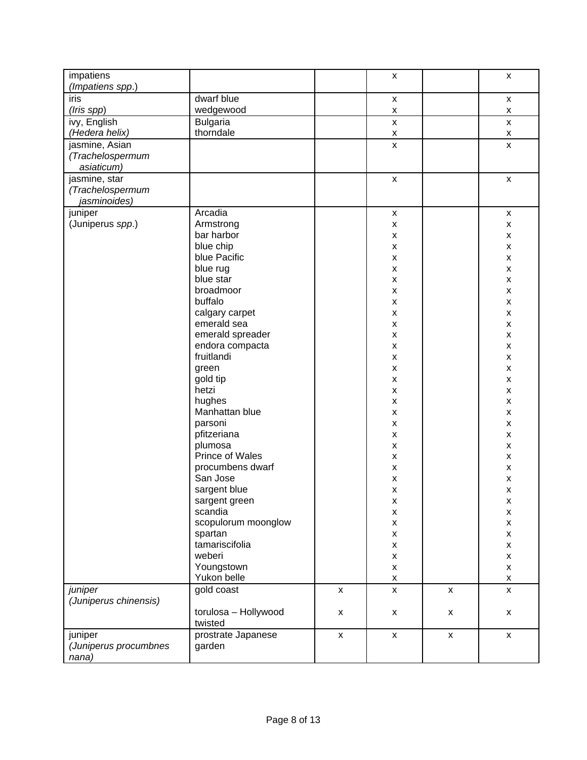| impatiens<br>(Impatiens spp.)                     |                                 |                    | $\pmb{\mathsf{X}}$                       |                    | X                                        |
|---------------------------------------------------|---------------------------------|--------------------|------------------------------------------|--------------------|------------------------------------------|
| iris<br>(Iris spp)                                | dwarf blue<br>wedgewood         |                    | $\pmb{\mathsf{X}}$<br>$\pmb{\mathsf{X}}$ |                    | $\pmb{\mathsf{x}}$<br>$\pmb{\mathsf{X}}$ |
| ivy, English<br>(Hedera helix)                    | <b>Bulgaria</b><br>thorndale    |                    | $\pmb{\mathsf{X}}$<br>X                  |                    | X<br>X                                   |
| jasmine, Asian<br>(Trachelospermum<br>asiaticum)  |                                 |                    | $\mathsf{x}$                             |                    | $\mathsf{x}$                             |
| jasmine, star<br>(Trachelospermum<br>jasminoides) |                                 |                    | $\pmb{\times}$                           |                    | $\mathsf{x}$                             |
| juniper                                           | Arcadia                         |                    | $\pmb{\mathsf{X}}$                       |                    | $\pmb{\mathsf{X}}$                       |
| (Juniperus spp.)                                  | Armstrong<br>bar harbor         |                    | X<br>X                                   |                    | X<br>$\pmb{\mathsf{x}}$                  |
|                                                   | blue chip                       |                    | $\pmb{\mathsf{x}}$                       |                    | $\pmb{\mathsf{x}}$                       |
|                                                   | blue Pacific                    |                    | $\pmb{\times}$                           |                    | $\pmb{\mathsf{x}}$                       |
|                                                   | blue rug                        |                    | $\pmb{\times}$                           |                    | $\pmb{\mathsf{X}}$                       |
|                                                   | blue star                       |                    | $\pmb{\mathsf{x}}$                       |                    | X                                        |
|                                                   | broadmoor                       |                    | $\pmb{\mathsf{X}}$                       |                    | X                                        |
|                                                   | buffalo                         |                    | $\pmb{\times}$                           |                    | X                                        |
|                                                   | calgary carpet                  |                    | $\pmb{\mathsf{x}}$                       |                    | X                                        |
|                                                   | emerald sea                     |                    | X                                        |                    | X                                        |
|                                                   | emerald spreader                |                    | $\pmb{\times}$                           |                    | X                                        |
|                                                   | endora compacta<br>fruitlandi   |                    | $\pmb{\mathsf{x}}$<br>$\pmb{\mathsf{X}}$ |                    | X<br>X                                   |
|                                                   | green                           |                    | $\pmb{\times}$                           |                    | $\pmb{\times}$                           |
|                                                   | gold tip                        |                    | $\pmb{\times}$                           |                    | $\pmb{\times}$                           |
|                                                   | hetzi                           |                    | $\pmb{\mathsf{x}}$                       |                    | $\pmb{\mathsf{x}}$                       |
|                                                   | hughes                          |                    | $\boldsymbol{\mathsf{x}}$                |                    | X                                        |
|                                                   | Manhattan blue                  |                    | $\pmb{\mathsf{x}}$                       |                    | X                                        |
|                                                   | parsoni                         |                    | $\pmb{\mathsf{x}}$                       |                    | X                                        |
|                                                   | pfitzeriana                     |                    | $\pmb{\mathsf{X}}$                       |                    | X                                        |
|                                                   | plumosa                         |                    | $\pmb{\mathsf{x}}$                       |                    | X                                        |
|                                                   | Prince of Wales                 |                    | $\pmb{\mathsf{x}}$                       |                    | X                                        |
|                                                   | procumbens dwarf                |                    | $\pmb{\times}$                           |                    | X                                        |
|                                                   | San Jose                        |                    | $\pmb{\mathsf{x}}$                       |                    | X                                        |
|                                                   | sargent blue                    |                    | $\pmb{\mathsf{x}}$                       |                    | X                                        |
|                                                   | sargent green<br>scandia        |                    | x<br>X                                   |                    | X<br>$\pmb{\mathsf{x}}$                  |
|                                                   | scopulorum moonglow             |                    | $\pmb{\mathsf{x}}$                       |                    | $\pmb{\mathsf{x}}$                       |
|                                                   | spartan                         |                    | $\pmb{\mathsf{x}}$                       |                    | X                                        |
|                                                   | tamariscifolia                  |                    | $\pmb{\mathsf{X}}$                       |                    | X                                        |
|                                                   | weberi                          |                    | $\pmb{\mathsf{X}}$                       |                    | X                                        |
|                                                   | Youngstown                      |                    | $\pmb{\mathsf{X}}$                       |                    | X                                        |
|                                                   | Yukon belle                     |                    | $\pmb{\mathsf{x}}$                       |                    | $\pmb{\mathsf{x}}$                       |
| juniper<br>(Juniperus chinensis)                  | gold coast                      | $\mathsf{x}$       | $\mathsf{x}$                             | $\pmb{\mathsf{X}}$ | $\mathsf{x}$                             |
|                                                   | torulosa - Hollywood<br>twisted | X                  | X                                        | $\pmb{\mathsf{X}}$ | $\pmb{\mathsf{X}}$                       |
| juniper<br>(Juniperus procumbnes<br>nana)         | prostrate Japanese<br>garden    | $\pmb{\mathsf{X}}$ | $\pmb{\mathsf{x}}$                       | $\pmb{\mathsf{x}}$ | $\pmb{\mathsf{X}}$                       |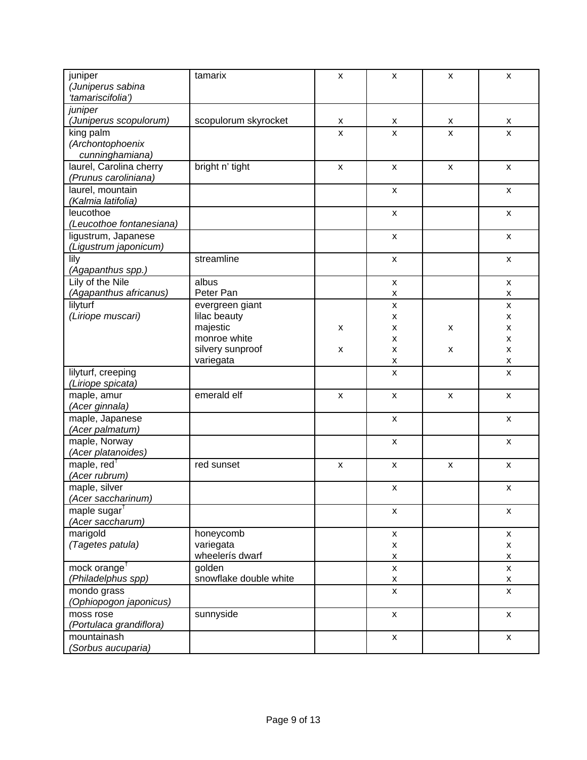| juniper                  | tamarix                | $\boldsymbol{\mathsf{x}}$ | $\boldsymbol{\mathsf{x}}$ | $\pmb{\mathsf{X}}$ | $\mathsf{x}$              |
|--------------------------|------------------------|---------------------------|---------------------------|--------------------|---------------------------|
| (Juniperus sabina        |                        |                           |                           |                    |                           |
| 'tamariscifolia')        |                        |                           |                           |                    |                           |
| juniper                  |                        |                           |                           |                    |                           |
| (Juniperus scopulorum)   | scopulorum skyrocket   | X                         | X                         |                    |                           |
| king palm                |                        | X                         | X                         | X<br>X             | X                         |
| (Archontophoenix         |                        |                           |                           |                    | X                         |
|                          |                        |                           |                           |                    |                           |
| cunninghamiana)          |                        |                           |                           |                    |                           |
| laurel, Carolina cherry  | bright n' tight        | $\boldsymbol{\mathsf{X}}$ | $\pmb{\times}$            | $\pmb{\mathsf{X}}$ | $\boldsymbol{\mathsf{x}}$ |
| (Prunus caroliniana)     |                        |                           |                           |                    |                           |
| laurel, mountain         |                        |                           | $\boldsymbol{\mathsf{x}}$ |                    | $\mathsf{x}$              |
| (Kalmia latifolia)       |                        |                           |                           |                    |                           |
| leucothoe                |                        |                           | $\boldsymbol{\mathsf{x}}$ |                    | $\boldsymbol{\mathsf{x}}$ |
| (Leucothoe fontanesiana) |                        |                           |                           |                    |                           |
| ligustrum, Japanese      |                        |                           | $\boldsymbol{\mathsf{x}}$ |                    | $\mathsf{x}$              |
| (Ligustrum japonicum)    |                        |                           |                           |                    |                           |
| lily                     | streamline             |                           | $\pmb{\mathsf{X}}$        |                    | $\boldsymbol{\mathsf{x}}$ |
| (Agapanthus spp.)        |                        |                           |                           |                    |                           |
| Lily of the Nile         | albus                  |                           | $\boldsymbol{\mathsf{x}}$ |                    | $\mathsf{x}$              |
| (Agapanthus africanus)   | Peter Pan              |                           | X                         |                    | X                         |
| lilyturf                 | evergreen giant        |                           | $\pmb{\mathsf{X}}$        |                    | $\pmb{\mathsf{x}}$        |
| (Liriope muscari)        | lilac beauty           |                           | x                         |                    | X                         |
|                          | majestic               | X                         | $\pmb{\mathsf{X}}$        | X                  | X                         |
|                          | monroe white           |                           | $\pmb{\mathsf{X}}$        |                    | $\pmb{\mathsf{x}}$        |
|                          | silvery sunproof       | X                         | $\pmb{\mathsf{x}}$        | X                  | $\pmb{\mathsf{x}}$        |
|                          | variegata              |                           | $\pmb{\mathsf{X}}$        |                    | X                         |
| lilyturf, creeping       |                        |                           | $\pmb{\mathsf{X}}$        |                    | $\pmb{\times}$            |
| (Liriope spicata)        |                        |                           |                           |                    |                           |
| maple, amur              | emerald elf            | $\boldsymbol{\mathsf{X}}$ | $\mathsf{x}$              | $\pmb{\mathsf{X}}$ | $\mathsf{x}$              |
| (Acer ginnala)           |                        |                           |                           |                    |                           |
| maple, Japanese          |                        |                           | $\boldsymbol{\mathsf{X}}$ |                    | $\mathsf{x}$              |
| (Acer palmatum)          |                        |                           |                           |                    |                           |
| maple, Norway            |                        |                           | $\pmb{\mathsf{X}}$        |                    | $\mathsf{x}$              |
| (Acer platanoides)       |                        |                           |                           |                    |                           |
| maple, red <sup>†</sup>  | red sunset             | X                         | $\pmb{\mathsf{X}}$        | $\pmb{\mathsf{x}}$ | $\pmb{\mathsf{X}}$        |
| (Acer rubrum)            |                        |                           |                           |                    |                           |
| maple, silver            |                        |                           | $\boldsymbol{\mathsf{X}}$ |                    | $\boldsymbol{\mathsf{x}}$ |
| (Acer saccharinum)       |                        |                           |                           |                    |                           |
| maple sugar <sup>†</sup> |                        |                           | $\mathsf{x}$              |                    | X                         |
| (Acer saccharum)         |                        |                           |                           |                    |                           |
| marigold                 | honeycomb              |                           |                           |                    |                           |
| (Tagetes patula)         | variegata              |                           | $\pmb{\mathsf{X}}$        |                    | $\mathsf{x}$              |
|                          | wheelerís dwarf        |                           | $\pmb{\mathsf{X}}$        |                    | $\pmb{\mathsf{x}}$        |
|                          |                        |                           | $\pmb{\mathsf{X}}$        |                    | X                         |
| mock orange <sup>t</sup> | golden                 |                           | $\pmb{\mathsf{X}}$        |                    | X                         |
| (Philadelphus spp)       | snowflake double white |                           | X                         |                    | x                         |
| mondo grass              |                        |                           | $\pmb{\mathsf{X}}$        |                    | $\pmb{\mathsf{x}}$        |
| (Ophiopogon japonicus)   |                        |                           |                           |                    |                           |
| moss rose                | sunnyside              |                           | X                         |                    | X                         |
| (Portulaca grandiflora)  |                        |                           |                           |                    |                           |
| mountainash              |                        |                           | $\mathsf{x}$              |                    | X                         |
| (Sorbus aucuparia)       |                        |                           |                           |                    |                           |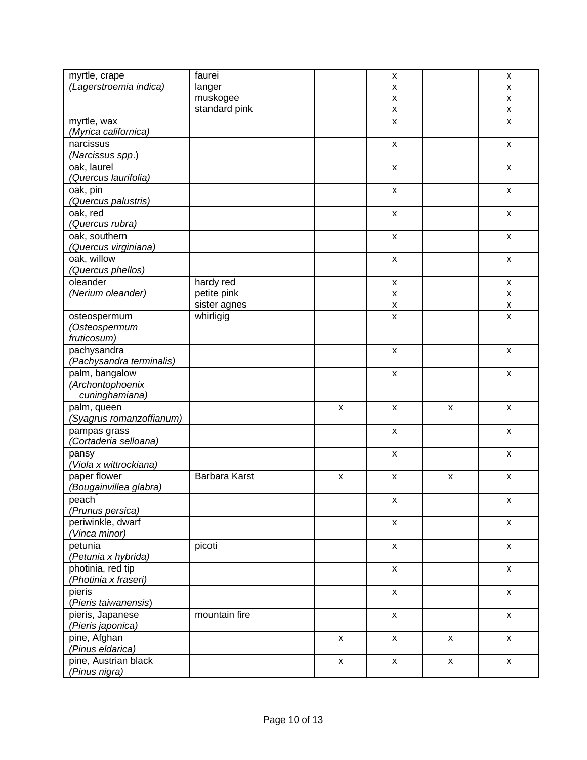| myrtle, crape<br>(Lagerstroemia indica)                   | faurei<br>langer<br>muskogee |                           | X<br>x<br>X        |                           | x<br>x<br>x        |
|-----------------------------------------------------------|------------------------------|---------------------------|--------------------|---------------------------|--------------------|
|                                                           | standard pink                |                           | X                  |                           | X                  |
| myrtle, wax<br>(Myrica californica)                       |                              |                           | X                  |                           | X                  |
| narcissus<br>(Narcissus spp.)                             |                              |                           | X                  |                           | $\mathsf{x}$       |
| oak, laurel<br>(Quercus laurifolia)                       |                              |                           | X                  |                           | $\mathsf{x}$       |
| oak, pin<br>(Quercus palustris)                           |                              |                           | X                  |                           | $\mathsf{x}$       |
| oak, red<br>(Quercus rubra)                               |                              |                           | $\pmb{\mathsf{X}}$ |                           | $\mathsf{x}$       |
| oak, southern<br>(Quercus virginiana)                     |                              |                           | X                  |                           | X                  |
| oak, willow<br>(Quercus phellos)                          |                              |                           | $\pmb{\mathsf{X}}$ |                           | $\mathsf{x}$       |
| oleander                                                  | hardy red                    |                           | $\pmb{\mathsf{x}}$ |                           | $\mathsf{x}$       |
| (Nerium oleander)                                         | petite pink                  |                           | X                  |                           | x                  |
|                                                           | sister agnes                 |                           | $\pmb{\mathsf{x}}$ |                           | $\pmb{\mathsf{X}}$ |
| osteospermum<br>(Osteospermum<br>fruticosum)              | whirligig                    |                           | X                  |                           | $\mathsf{x}$       |
| pachysandra<br>(Pachysandra terminalis)                   |                              |                           | X                  |                           | x                  |
| palm, bangalow<br>(Archontophoenix<br>cuninghamiana)      |                              |                           | $\pmb{\mathsf{X}}$ |                           | x                  |
| palm, queen<br>(Syagrus romanzoffianum)                   |                              | X                         | $\pmb{\mathsf{X}}$ | $\boldsymbol{\mathsf{x}}$ | X                  |
| pampas grass<br>(Cortaderia selloana)                     |                              |                           | $\pmb{\mathsf{X}}$ |                           | X                  |
| pansy<br>(Viola x wittrockiana)                           |                              |                           | $\pmb{\mathsf{x}}$ |                           | $\mathsf{x}$       |
| paper flower<br>(Bougainvillea glabra)                    | Barbara Karst                | $\boldsymbol{\mathsf{x}}$ | $\pmb{\times}$     | $\boldsymbol{\mathsf{x}}$ | $\mathsf{x}$       |
| $\overline{\mathsf{peach}}^{\dagger}$<br>(Prunus persica) |                              |                           | x                  |                           | x                  |
| periwinkle, dwarf<br>(Vinca minor)                        |                              |                           | X                  |                           | $\pmb{\mathsf{X}}$ |
| petunia<br>(Petunia x hybrida)                            | picoti                       |                           | $\mathsf{x}$       |                           | $\mathsf{x}$       |
| photinia, red tip<br>(Photinia x fraseri)                 |                              |                           | X                  |                           | $\mathsf{x}$       |
| pieris<br>(Pieris taiwanensis)                            |                              |                           | X                  |                           | $\mathsf{x}$       |
| pieris, Japanese<br>(Pieris japonica)                     | mountain fire                |                           | $\mathsf{x}$       |                           | $\mathsf{x}$       |
| pine, Afghan<br>(Pinus eldarica)                          |                              | X                         | X                  | X                         | X                  |
| pine, Austrian black<br>(Pinus nigra)                     |                              | $\mathsf{x}$              | X                  | $\boldsymbol{\mathsf{X}}$ | $\mathsf{x}$       |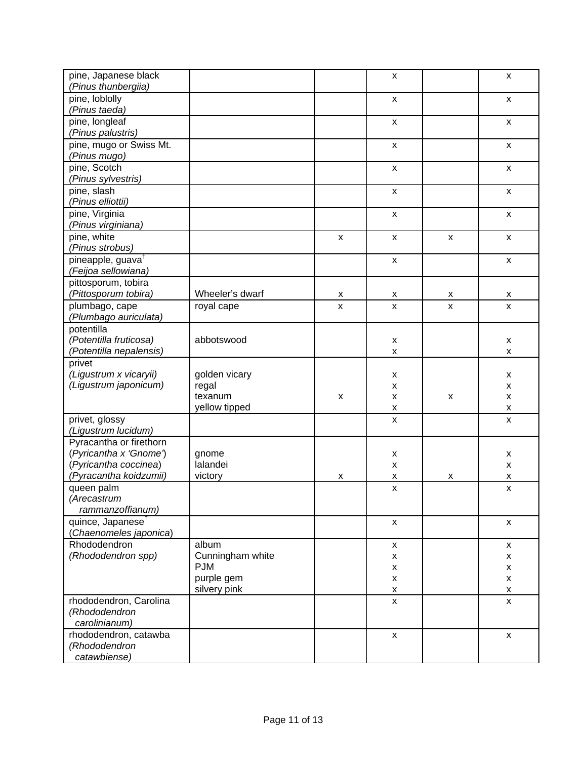| pine, Japanese black<br>(Pinus thunbergiia)             |                          |                           | $\boldsymbol{\mathsf{X}}$ |                | $\mathsf{x}$              |
|---------------------------------------------------------|--------------------------|---------------------------|---------------------------|----------------|---------------------------|
| pine, loblolly<br>(Pinus taeda)                         |                          |                           | $\pmb{\mathsf{X}}$        |                | $\pmb{\mathsf{x}}$        |
| pine, longleaf                                          |                          |                           | $\boldsymbol{\mathsf{X}}$ |                | $\mathsf{x}$              |
| (Pinus palustris)<br>pine, mugo or Swiss Mt.            |                          |                           | $\pmb{\mathsf{X}}$        |                | $\pmb{\mathsf{x}}$        |
| (Pinus mugo)<br>pine, Scotch                            |                          |                           | $\boldsymbol{\mathsf{X}}$ |                | $\mathsf{x}$              |
| (Pinus sylvestris)<br>pine, slash                       |                          |                           | $\pmb{\mathsf{X}}$        |                | $\pmb{\mathsf{x}}$        |
| (Pinus elliottii)                                       |                          |                           |                           |                |                           |
| pine, Virginia<br>(Pinus virginiana)                    |                          |                           | $\pmb{\mathsf{X}}$        |                | $\mathsf{x}$              |
| pine, white<br>(Pinus strobus)                          |                          | $\boldsymbol{\mathsf{x}}$ | $\pmb{\mathsf{X}}$        | $\pmb{\times}$ | $\pmb{\mathsf{x}}$        |
| pineapple, guava <sup>t</sup>                           |                          |                           | $\pmb{\mathsf{X}}$        |                | $\pmb{\mathsf{X}}$        |
| (Feijoa sellowiana)<br>pittosporum, tobira              |                          |                           |                           |                |                           |
| (Pittosporum tobira)                                    | Wheeler's dwarf          | X                         | X                         | X              | X                         |
| plumbago, cape<br>(Plumbago auriculata)                 | royal cape               | $\pmb{\mathsf{X}}$        | $\pmb{\mathsf{x}}$        | $\pmb{\chi}$   | $\mathsf{x}$              |
| potentilla                                              | abbotswood               |                           |                           |                |                           |
| (Potentilla fruticosa)<br>(Potentilla nepalensis)       |                          |                           | x<br>x                    |                | x<br>X                    |
| privet                                                  |                          |                           |                           |                |                           |
| (Ligustrum x vicaryii)<br>(Ligustrum japonicum)         | golden vicary<br>regal   |                           | x<br>X                    |                | x<br>X                    |
|                                                         | texanum                  | X                         | x                         | X              | x                         |
|                                                         | yellow tipped            |                           | x                         |                | X                         |
| privet, glossy<br>(Ligustrum lucidum)                   |                          |                           | X                         |                | X                         |
| Pyracantha or firethorn                                 |                          |                           |                           |                |                           |
| (Pyricantha x 'Gnome')                                  | gnome                    |                           | Х                         |                | x                         |
| (Pyricantha coccinea)<br>(Pyracantha koidzumii)         | lalandei<br>victory      | X                         | X<br>X                    | X              | $\pmb{\mathsf{x}}$<br>X   |
| queen palm                                              |                          |                           | $\boldsymbol{\mathsf{x}}$ |                | $\pmb{\mathsf{x}}$        |
| (Arecastrum                                             |                          |                           |                           |                |                           |
| rammanzoffianum)                                        |                          |                           |                           |                |                           |
| quince, Japanese <sup>t</sup><br>(Chaenomeles japonica) |                          |                           | x                         |                | X                         |
| Rhododendron                                            | album                    |                           | $\mathsf{x}$              |                | $\boldsymbol{\mathsf{x}}$ |
| (Rhododendron spp)                                      | Cunningham white         |                           | x                         |                | X                         |
|                                                         | <b>PJM</b><br>purple gem |                           | $\pmb{\mathsf{x}}$        |                | $\pmb{\mathsf{x}}$        |
|                                                         | silvery pink             |                           | $\pmb{\mathsf{X}}$<br>X   |                | X<br>X                    |
| rhododendron, Carolina                                  |                          |                           | $\pmb{\mathsf{X}}$        |                | $\pmb{\mathsf{x}}$        |
| (Rhododendron                                           |                          |                           |                           |                |                           |
| carolinianum)                                           |                          |                           |                           |                |                           |
| rhododendron, catawba<br>(Rhododendron                  |                          |                           | $\mathsf{x}$              |                | X                         |
| catawbiense)                                            |                          |                           |                           |                |                           |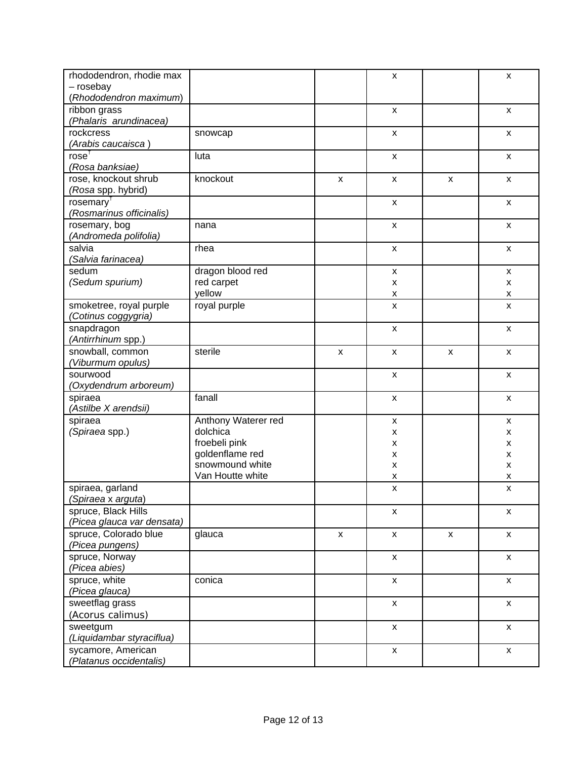| rhododendron, rhodie max<br>- rosebay |                     |                           | X                  |                           | x                         |
|---------------------------------------|---------------------|---------------------------|--------------------|---------------------------|---------------------------|
| (Rhododendron maximum)                |                     |                           |                    |                           |                           |
| ribbon grass                          |                     |                           | X                  |                           | X                         |
| (Phalaris arundinacea)                |                     |                           |                    |                           |                           |
| rockcress                             | snowcap             |                           | $\pmb{\mathsf{X}}$ |                           | $\mathsf{x}$              |
| (Arabis caucaisca )                   |                     |                           |                    |                           |                           |
| rose <sup>†</sup>                     | luta                |                           | $\mathsf{x}$       |                           | X                         |
| (Rosa banksiae)                       |                     |                           |                    |                           |                           |
| rose, knockout shrub                  | knockout            | $\boldsymbol{\mathsf{x}}$ | X                  | $\boldsymbol{\mathsf{x}}$ | X                         |
| (Rosa spp. hybrid)                    |                     |                           |                    |                           |                           |
| rosemary <sup>1</sup>                 |                     |                           | X                  |                           | X                         |
| (Rosmarinus officinalis)              |                     |                           |                    |                           |                           |
| rosemary, bog                         | nana                |                           | $\mathsf{x}$       |                           | X                         |
| (Andromeda polifolia)                 |                     |                           |                    |                           |                           |
| salvia                                | rhea                |                           | X                  |                           | X                         |
| (Salvia farinacea)                    |                     |                           |                    |                           |                           |
| sedum                                 | dragon blood red    |                           | $\pmb{\mathsf{X}}$ |                           | $\mathsf{x}$              |
| (Sedum spurium)                       | red carpet          |                           | X                  |                           | x                         |
|                                       | yellow              |                           | X                  |                           | X                         |
| smoketree, royal purple               | royal purple        |                           | $\pmb{\times}$     |                           | X                         |
| (Cotinus coggygria)                   |                     |                           |                    |                           |                           |
| snapdragon                            |                     |                           | $\pmb{\times}$     |                           | $\mathsf{x}$              |
| (Antirrhinum spp.)                    |                     |                           |                    |                           |                           |
| snowball, common                      | sterile             | $\pmb{\mathsf{X}}$        | $\pmb{\mathsf{x}}$ | $\boldsymbol{\mathsf{x}}$ | X                         |
| (Viburmum opulus)                     |                     |                           |                    |                           |                           |
| sourwood                              |                     |                           | X                  |                           | x                         |
| (Oxydendrum arboreum)                 |                     |                           |                    |                           |                           |
| spiraea                               | fanall              |                           | $\pmb{\mathsf{x}}$ |                           | $\boldsymbol{\mathsf{x}}$ |
| (Astilbe X arendsii)                  |                     |                           |                    |                           |                           |
| spiraea                               | Anthony Waterer red |                           | X                  |                           | x                         |
| (Spiraea spp.)                        | dolchica            |                           | X                  |                           | x                         |
|                                       | froebeli pink       |                           | x                  |                           | x                         |
|                                       | goldenflame red     |                           | X                  |                           | x                         |
|                                       | snowmound white     |                           | X                  |                           | x                         |
|                                       | Van Houtte white    |                           | Χ                  |                           | Χ                         |
| spiraea, garland                      |                     |                           | $\pmb{\mathsf{X}}$ |                           | $\pmb{\times}$            |
| (Spiraea x arguta)                    |                     |                           |                    |                           |                           |
| spruce, Black Hills                   |                     |                           | X                  |                           | $\boldsymbol{\mathsf{x}}$ |
| (Picea glauca var densata)            |                     |                           |                    |                           |                           |
| spruce, Colorado blue                 | glauca              | $\pmb{\mathsf{X}}$        | X                  | $\pmb{\mathsf{X}}$        | $\mathsf{x}$              |
| (Picea pungens)                       |                     |                           |                    |                           |                           |
| spruce, Norway                        |                     |                           | X                  |                           | $\mathsf{x}$              |
| (Picea abies)                         |                     |                           |                    |                           |                           |
| spruce, white                         | conica              |                           | X                  |                           | X                         |
| (Picea glauca)                        |                     |                           |                    |                           |                           |
| sweetflag grass                       |                     |                           | $\mathsf{x}$       |                           | $\mathsf{x}$              |
| (Acorus calimus)                      |                     |                           |                    |                           |                           |
| sweetgum                              |                     |                           | X                  |                           | x                         |
| (Liquidambar styraciflua)             |                     |                           |                    |                           |                           |
| sycamore, American                    |                     |                           | X                  |                           | $\mathsf{x}$              |
| (Platanus occidentalis)               |                     |                           |                    |                           |                           |